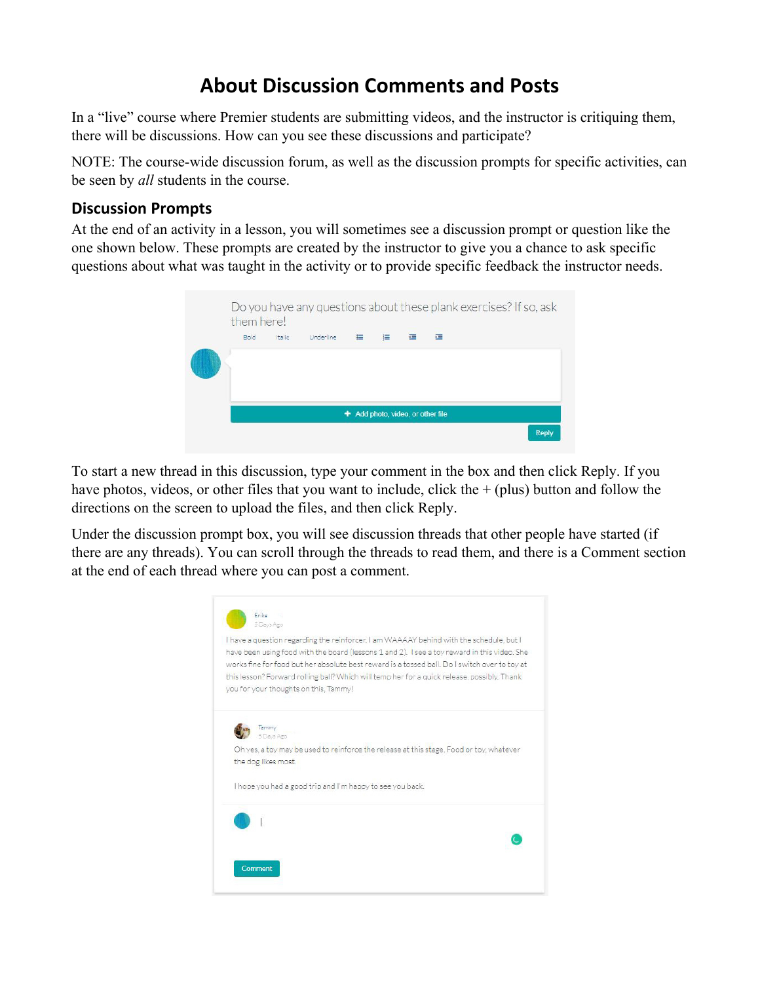# **About Discussion Comments and Posts**

In a "live" course where Premier students are submitting videos, and the instructor is critiquing them, there will be discussions. How can you see these discussions and participate?

NOTE: The course-wide discussion forum, as well as the discussion prompts for specific activities, can be seen by *all* students in the course.

#### **Discussion Prompts**

At the end of an activity in a lesson, you will sometimes see a discussion prompt or question like the one shown below. These prompts are created by the instructor to give you a chance to ask specific questions about what was taught in the activity or to provide specific feedback the instructor needs.



To start a new thread in this discussion, type your comment in the box and then click Reply. If you have photos, videos, or other files that you want to include, click the  $+$  (plus) button and follow the directions on the screen to upload the files, and then click Reply.

Under the discussion prompt box, you will see discussion threads that other people have started (if there are any threads). You can scroll through the threads to read them, and there is a Comment section at the end of each thread where you can post a comment.

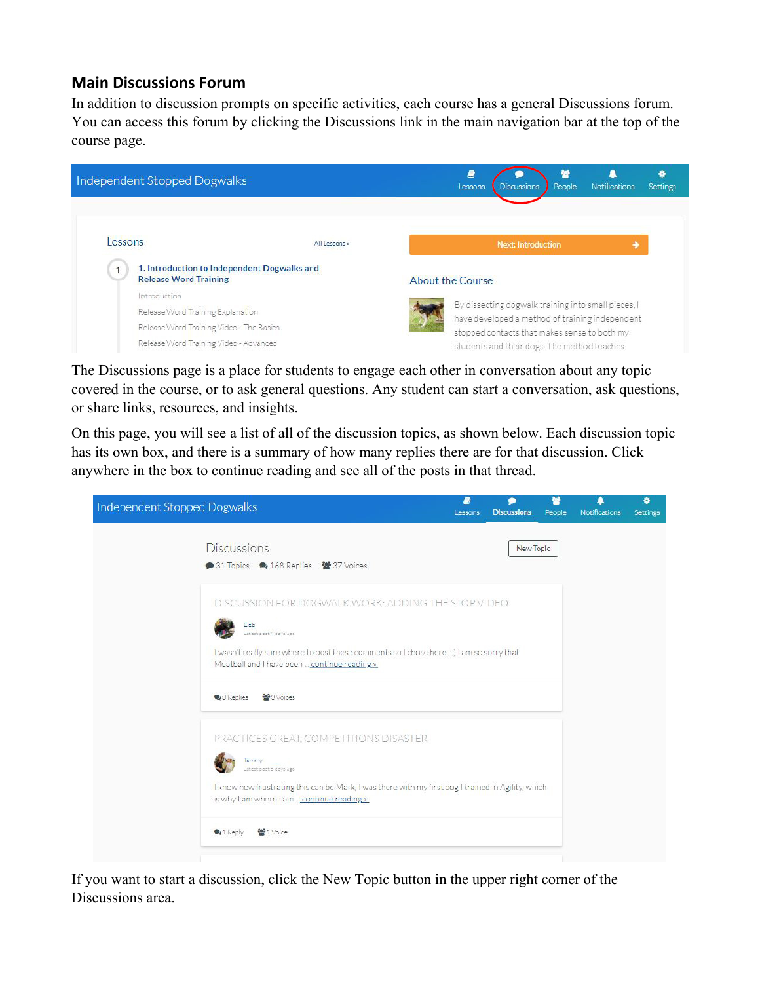#### **Main Discussions Forum**

In addition to discussion prompts on specific activities, each course has a general Discussions forum. You can access this forum by clicking the Discussions link in the main navigation bar at the top of the course page.



The Discussions page is a place for students to engage each other in conversation about any topic covered in the course, or to ask general questions. Any student can start a conversation, ask questions, or share links, resources, and insights.

On this page, you will see a list of all of the discussion topics, as shown below. Each discussion topic has its own box, and there is a summary of how many replies there are for that discussion. Click anywhere in the box to continue reading and see all of the posts in that thread.



If you want to start a discussion, click the New Topic button in the upper right corner of the Discussions area.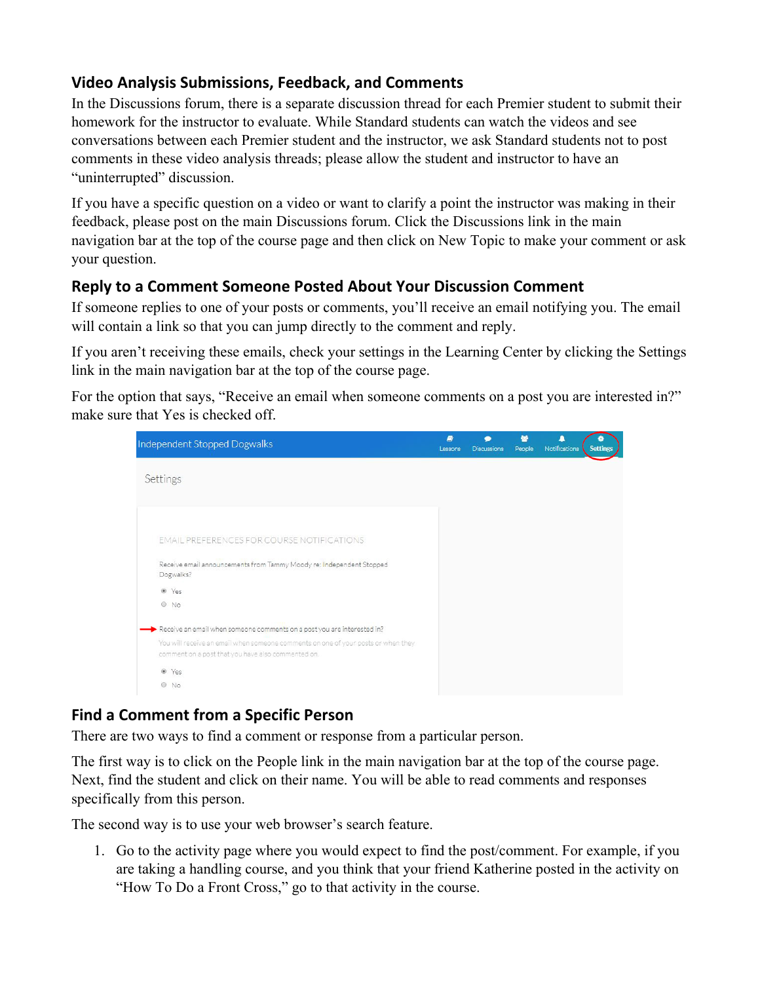## **Video Analysis Submissions, Feedback, and Comments**

In the Discussions forum, there is a separate discussion thread for each Premier student to submit their homework for the instructor to evaluate. While Standard students can watch the videos and see conversations between each Premier student and the instructor, we ask Standard students not to post comments in these video analysis threads; please allow the student and instructor to have an "uninterrupted" discussion.

If you have a specific question on a video or want to clarify a point the instructor was making in their feedback, please post on the main Discussions forum. Click the Discussions link in the main navigation bar at the top of the course page and then click on New Topic to make your comment or ask your question.

## **Reply to a Comment Someone Posted About Your Discussion Comment**

If someone replies to one of your posts or comments, you'll receive an email notifying you. The email will contain a link so that you can jump directly to the comment and reply.

If you aren't receiving these emails, check your settings in the Learning Center by clicking the Settings link in the main navigation bar at the top of the course page.

For the option that says, "Receive an email when someone comments on a post you are interested in?" make sure that Yes is checked off.



# **Find a Comment from a Specific Person**

There are two ways to find a comment or response from a particular person.

The first way is to click on the People link in the main navigation bar at the top of the course page. Next, find the student and click on their name. You will be able to read comments and responses specifically from this person.

The second way is to use your web browser's search feature.

1. Go to the activity page where you would expect to find the post/comment. For example, if you are taking a handling course, and you think that your friend Katherine posted in the activity on "How To Do a Front Cross," go to that activity in the course.